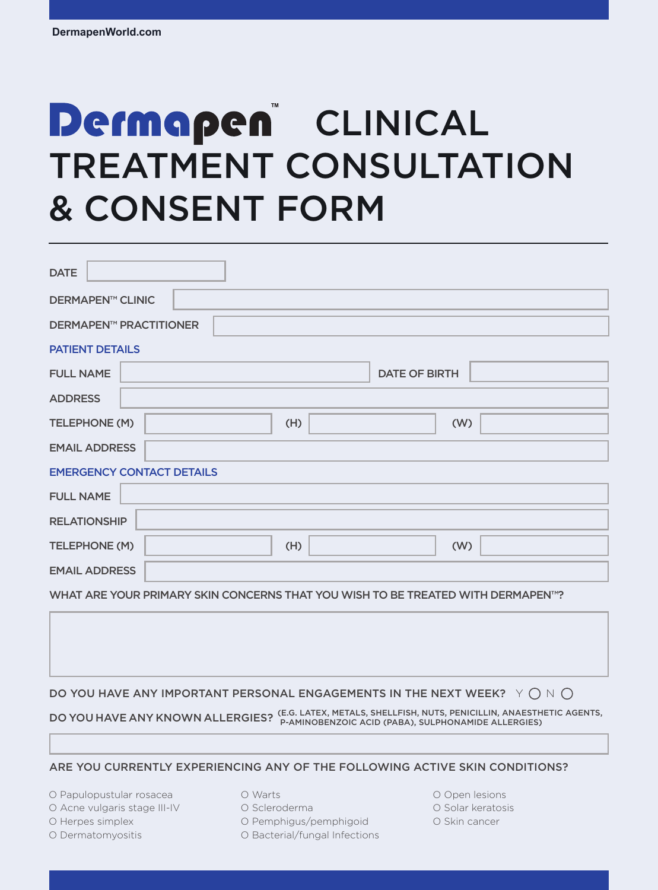# **Dermapen** CLINICAL TREATMENT CONSULTATION & CONSENT FORM

| <b>DATE</b>                                                                                 |
|---------------------------------------------------------------------------------------------|
| <b>DERMAPEN™ CLINIC</b>                                                                     |
| <b>DERMAPEN™ PRACTITIONER</b>                                                               |
| <b>PATIENT DETAILS</b>                                                                      |
| <b>FULL NAME</b><br><b>DATE OF BIRTH</b>                                                    |
| <b>ADDRESS</b>                                                                              |
| (W)<br>TELEPHONE (M)<br>(H)                                                                 |
| <b>EMAIL ADDRESS</b>                                                                        |
| <b>EMERGENCY CONTACT DETAILS</b>                                                            |
| <b>FULL NAME</b>                                                                            |
| <b>RELATIONSHIP</b>                                                                         |
| TELEPHONE (M)<br>(H)<br>(W)                                                                 |
| <b>EMAIL ADDRESS</b>                                                                        |
| WHAT ARE YOUR PRIMARY SKIN CONCERNS THAT YOU WISH TO BE TREATED WITH DERMAPEN <sup>™?</sup> |

DO YOU HAVE ANY IMPORTANT PERSONAL ENGAGEMENTS IN THE NEXT WEEK?  $\forall \bigcap N \bigcap$ 

DO YOU HAVE ANY KNOWN ALLERGIES? (E.G. LATEX, METALS, SHELLFISH, NUTS, PENICILLIN, ANAESTHETIC AGENTS,<br>P-AMINOBENZICI (PABA), SULPHONAMIDE ALLERGIES (PABA), SULPHONAMIDE ALLERGIES)

#### ARE YOU CURRENTLY EXPERIENCING ANY OF THE FOLLOWING ACTIVE SKIN CONDITIONS?

O Papulopustular rosacea

- O Acne vulgaris stage III-IV
- O Herpes simplex
- O Dermatomyositis

O Warts

O Scleroderma

- O Pemphigus/pemphigoid
- O Bacterial/fungal Infections
- O Open lesions
- O Solar keratosis
- O Skin cancer